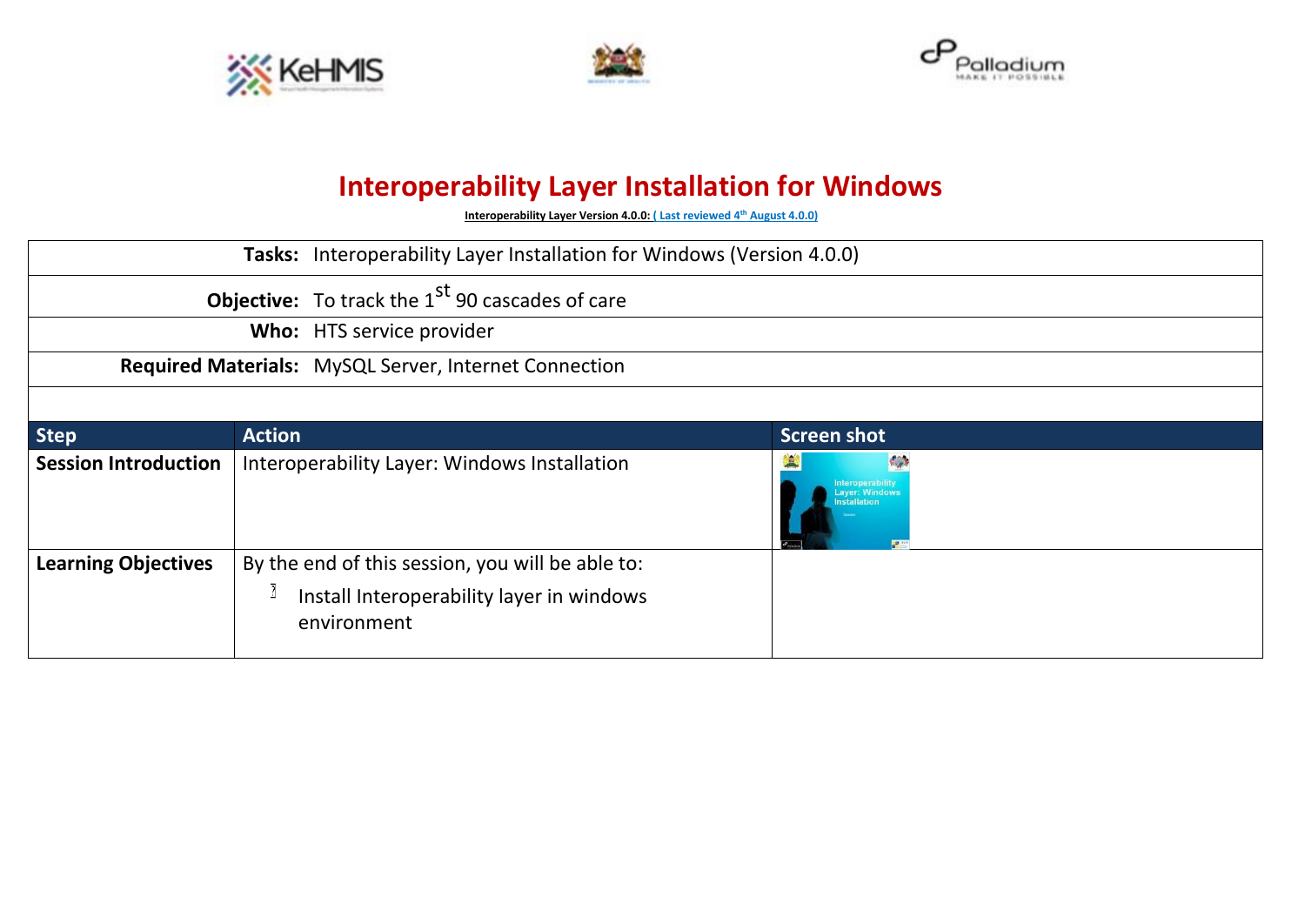





## **Interoperability Layer Installation for Windows**

**Interoperability Layer Version 4.0.0: ( Last reviewed 4 th August 4.0.0)**

|                             | Tasks: Interoperability Layer Installation for Windows (Version 4.0.0) |                                                                                                              |  |                          |  |
|-----------------------------|------------------------------------------------------------------------|--------------------------------------------------------------------------------------------------------------|--|--------------------------|--|
|                             |                                                                        | <b>Objective:</b> To track the 1 <sup>st</sup> 90 cascades of care                                           |  |                          |  |
|                             |                                                                        | Who: HTS service provider                                                                                    |  |                          |  |
|                             |                                                                        | Required Materials: MySQL Server, Internet Connection                                                        |  |                          |  |
|                             |                                                                        |                                                                                                              |  |                          |  |
| <b>Step</b>                 | <b>Action</b>                                                          |                                                                                                              |  | <b>Screen shot</b>       |  |
| <b>Session Introduction</b> |                                                                        | Interoperability Layer: Windows Installation                                                                 |  | K<br><b>Installation</b> |  |
| <b>Learning Objectives</b>  |                                                                        | By the end of this session, you will be able to:<br>Install Interoperability layer in windows<br>environment |  |                          |  |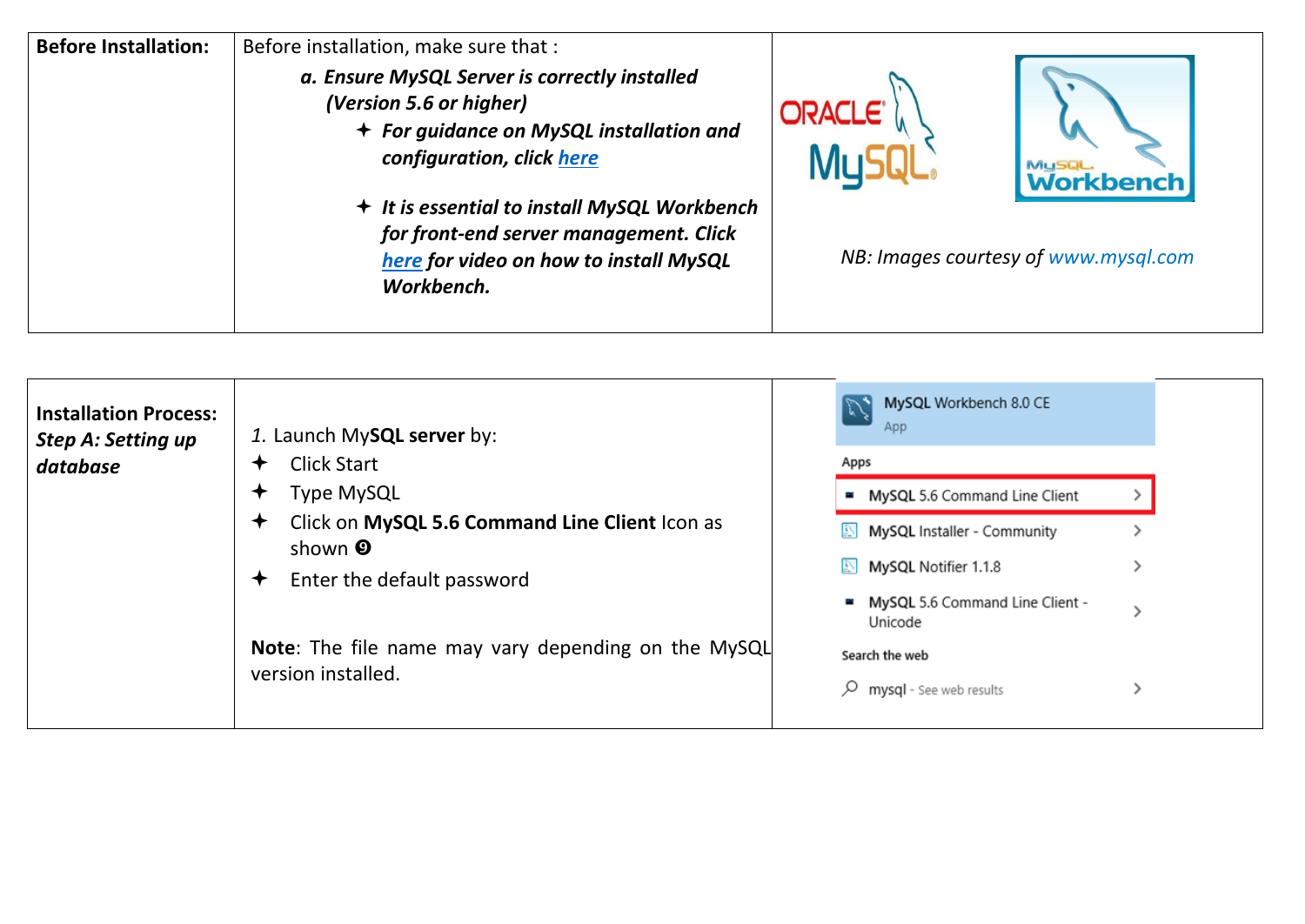| <b>Before Installation:</b> | Before installation, make sure that :                                                                                                                                                                                                                                                               |                                      |
|-----------------------------|-----------------------------------------------------------------------------------------------------------------------------------------------------------------------------------------------------------------------------------------------------------------------------------------------------|--------------------------------------|
|                             | a. Ensure MySQL Server is correctly installed<br>(Version 5.6 or higher)<br>+ For guidance on MySQL installation and<br>configuration, click here<br>← It is essential to install MySQL Workbench<br>for front-end server management. Click<br>here for video on how to install MySQL<br>Workbench. | <b>ORACLE</b><br><b>Workbench</b>    |
|                             |                                                                                                                                                                                                                                                                                                     | NB: Images courtesy of www.mysql.com |

| <b>Installation Process:</b><br><b>Step A: Setting up</b> | 1. Launch My <b>SQL server</b> by:                                                                              | MySQL Workbench 8.0 CE<br>App                  |  |  |
|-----------------------------------------------------------|-----------------------------------------------------------------------------------------------------------------|------------------------------------------------|--|--|
| database                                                  | <b>Click Start</b><br><b>Type MySQL</b><br>Click on MySQL 5.6 Command Line Client Icon as<br>shown <sup>O</sup> | Apps                                           |  |  |
|                                                           |                                                                                                                 | MySQL 5.6 Command Line Client                  |  |  |
|                                                           |                                                                                                                 | MySQL Installer - Community                    |  |  |
|                                                           | Enter the default password                                                                                      | MySQL Notifier 1.1.8                           |  |  |
|                                                           |                                                                                                                 | MySQL 5.6 Command Line Client -<br>Unicode     |  |  |
|                                                           | Note: The file name may vary depending on the MySQL<br>version installed.                                       | Search the web<br>mysql - See web results<br>Ω |  |  |
|                                                           |                                                                                                                 |                                                |  |  |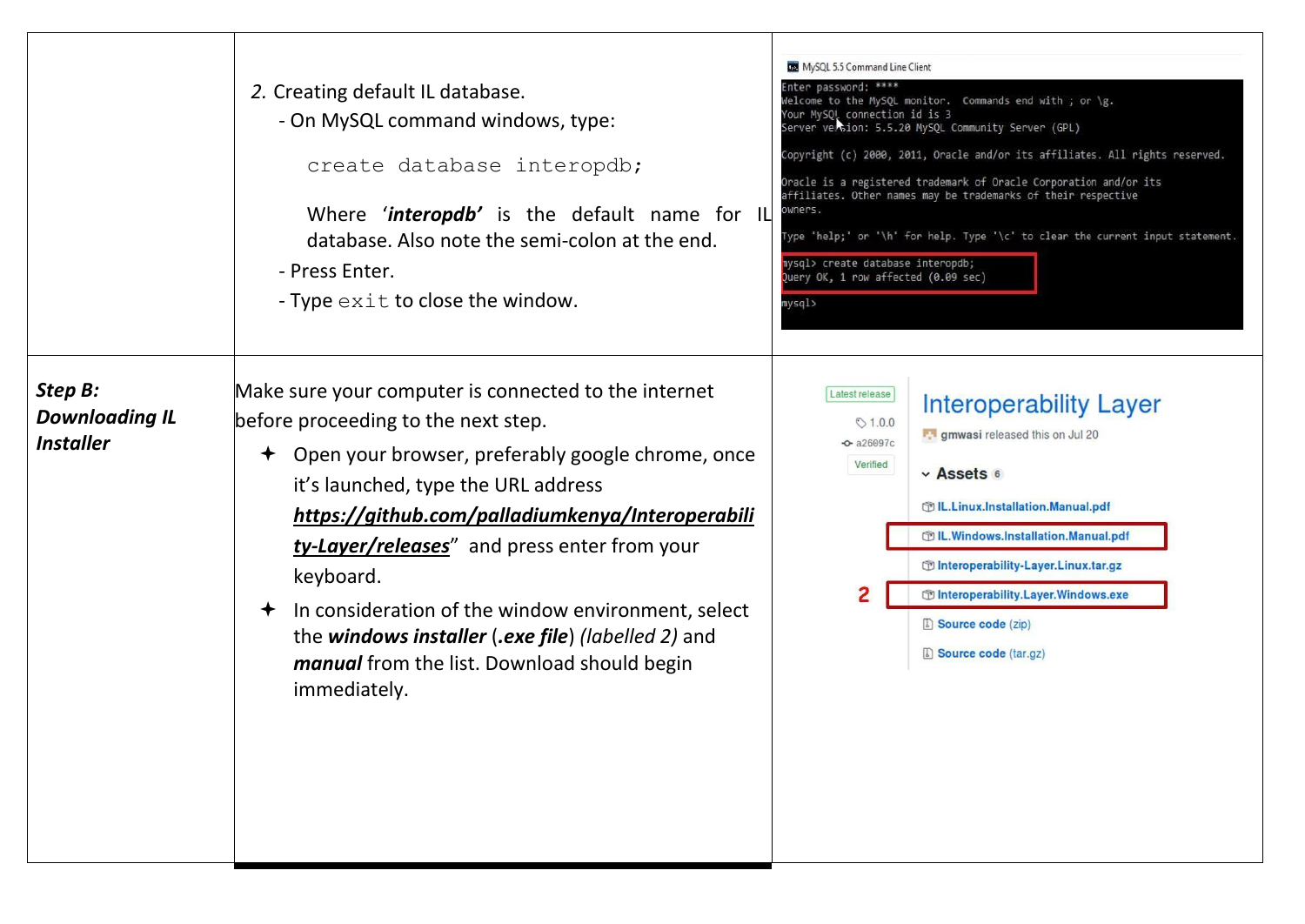|                                                             | 2. Creating default IL database.<br>- On MySQL command windows, type:<br>create database interopdb;<br>Where 'interopdb' is the default name for IL<br>database. Also note the semi-colon at the end.<br>- Press Enter.<br>- Type $\in$ xit to close the window.                                                                                                                                                                                                                                           | MySQL 5.5 Command Line Client<br>nter password: ****<br>Welcome to the MySQL monitor. Commands end with ; or \g.<br>Your MySQL connection id is 3<br>Server version: 5.5.20 MySQL Community Server (GPL)<br>Copyright (c) 2000, 2011, Oracle and/or its affiliates. All rights reserved.<br>Oracle is a registered trademark of Oracle Corporation and/or its<br>affiliates. Other names may be trademarks of their respective<br>owners.<br>Type 'help;' or '\h' for help. Type '\c' to clear the current input statement.<br>nysql> create database interopdb;<br>Query OK, 1 row affected (0.09 sec)<br>mysql> |
|-------------------------------------------------------------|------------------------------------------------------------------------------------------------------------------------------------------------------------------------------------------------------------------------------------------------------------------------------------------------------------------------------------------------------------------------------------------------------------------------------------------------------------------------------------------------------------|-------------------------------------------------------------------------------------------------------------------------------------------------------------------------------------------------------------------------------------------------------------------------------------------------------------------------------------------------------------------------------------------------------------------------------------------------------------------------------------------------------------------------------------------------------------------------------------------------------------------|
| Step B:<br><b>Downloading IL</b><br><i><b>Installer</b></i> | Make sure your computer is connected to the internet<br>before proceeding to the next step.<br>← Open your browser, preferably google chrome, once<br>it's launched, type the URL address<br>https://github.com/palladiumkenya/Interoperabili<br>ty-Layer/releases" and press enter from your<br>keyboard.<br>In consideration of the window environment, select<br>$\bigstar$<br>the windows installer (.exe file) (labelled 2) and<br><i>manual</i> from the list. Download should begin<br>immediately. | Latest release<br><b>Interoperability Layer</b><br>$\circ$ 1.0.0<br><b>F. I gmwasi</b> released this on Jul 20<br>$-$ a26097c<br>Verified<br>v Assets 6<br>m IL.Linux.Installation.Manual.pdf<br>OL.Windows.Installation.Manual.pdf<br>m Interoperability-Layer.Linux.tar.gz<br>m Interoperability.Layer.Windows.exe<br>Source code (zip)<br>Source code (tar.gz)                                                                                                                                                                                                                                                 |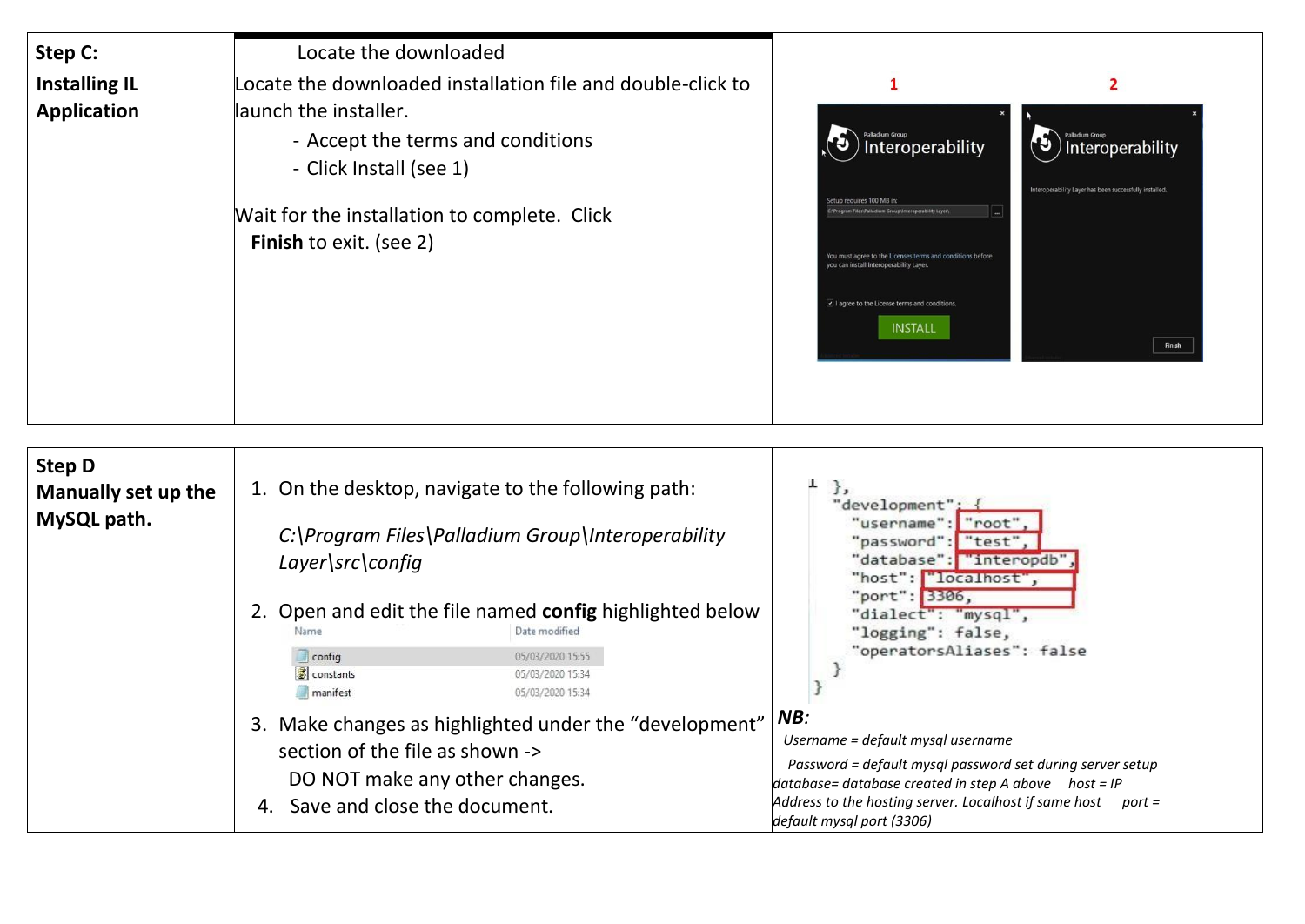| Step C:                                    | Locate the downloaded                                                                                                                                                                                                                  |                                                                                                                                                                                                                                                                                    |                                                                                                                            |
|--------------------------------------------|----------------------------------------------------------------------------------------------------------------------------------------------------------------------------------------------------------------------------------------|------------------------------------------------------------------------------------------------------------------------------------------------------------------------------------------------------------------------------------------------------------------------------------|----------------------------------------------------------------------------------------------------------------------------|
| <b>Installing IL</b><br><b>Application</b> | Locate the downloaded installation file and double-click to<br>launch the installer.<br>- Accept the terms and conditions<br>- Click Install (see 1)<br>Wait for the installation to complete. Click<br><b>Finish to exit. (see 2)</b> | Interoperability<br>Setup requires 100 MB in:<br>VProgram Files\Palladium Group\Interoperability Layer\<br>You must agree to the Licenses terms and conditions before<br>you can install Interoperability Layer.<br>I agree to the License terms and conditions.<br><b>INSTALL</b> | $\overline{2}$<br>Palladium Group<br>Interoperability<br>Interoperability Layer has been successfully installed.<br>Finish |

| <b>Step D</b><br>Manually set up the<br>MySQL path. | 1. On the desktop, navigate to the following path:<br>$\cdot$<br>"development":<br>"username": "root"<br>C:\Program Files\Palladium Group\Interoperability<br>"password": "test".<br>"database": "interopdb"<br>Layer\src\config<br>"host": "localhost",<br>"port": 3306,                                                                                                                                                             |
|-----------------------------------------------------|---------------------------------------------------------------------------------------------------------------------------------------------------------------------------------------------------------------------------------------------------------------------------------------------------------------------------------------------------------------------------------------------------------------------------------------|
|                                                     | 2. Open and edit the file named config highlighted below<br>"dialect": "mysql",<br>"logging": false,<br>Date modified<br>"operatorsAliases": false<br>05/03/2020 15:55<br>config<br>sonstants<br>05/03/2020 15:34<br>manifest<br>05/03/2020 15:34                                                                                                                                                                                     |
|                                                     | NB:<br>3. Make changes as highlighted under the "development"<br>Username = default mysql username<br>section of the file as shown -><br>Password = default mysql password set during server setup<br>DO NOT make any other changes.<br>$database = database created in step A above host = IP$<br>Address to the hosting server. Localhost if same host<br>Save and close the document.<br>port =<br>4.<br>default mysql port (3306) |